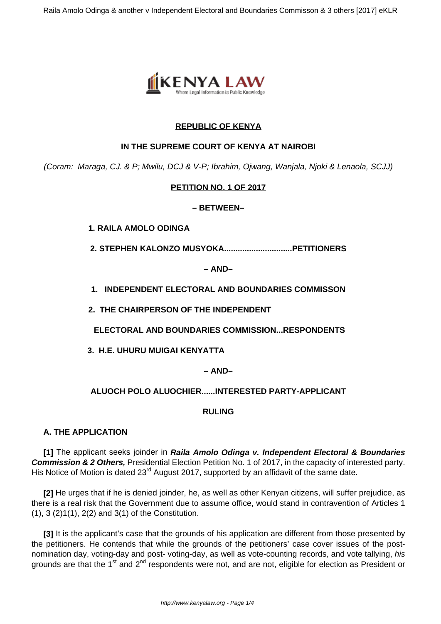

## **REPUBLIC OF KENYA**

### **IN THE SUPREME COURT OF KENYA AT NAIROBI**

(Coram: Maraga, CJ. & P; Mwilu, DCJ & V-P; Ibrahim, Ojwang, Wanjala, Njoki & Lenaola, SCJJ)

# **PETITION NO. 1 OF 2017**

### **– BETWEEN–**

**1. RAILA AMOLO ODINGA**

**2. STEPHEN KALONZO MUSYOKA..............................PETITIONERS**

**– AND–**

**1. INDEPENDENT ELECTORAL AND BOUNDARIES COMMISSON**

**2. THE CHAIRPERSON OF THE INDEPENDENT**

**ELECTORAL AND BOUNDARIES COMMISSION...RESPONDENTS**

**3. H.E. UHURU MUIGAI KENYATTA** 

# **– AND–**

# **ALUOCH POLO ALUOCHIER......INTERESTED PARTY-APPLICANT**

### **RULING**

# **A. THE APPLICATION**

**[1]** The applicant seeks joinder in **Raila Amolo Odinga v. Independent Electoral & Boundaries Commission & 2 Others,** Presidential Election Petition No. 1 of 2017, in the capacity of interested party. His Notice of Motion is dated 23<sup>rd</sup> August 2017, supported by an affidavit of the same date.

**[2]** He urges that if he is denied joinder, he, as well as other Kenyan citizens, will suffer prejudice, as there is a real risk that the Government due to assume office, would stand in contravention of Articles 1 (1), 3 (2)1(1), 2(2) and 3(1) of the Constitution.

**[3]** It is the applicant's case that the grounds of his application are different from those presented by the petitioners. He contends that while the grounds of the petitioners' case cover issues of the postnomination day, voting-day and post- voting-day, as well as vote-counting records, and vote tallying, his grounds are that the  $1^{st}$  and  $2^{nd}$  respondents were not, and are not, eligible for election as President or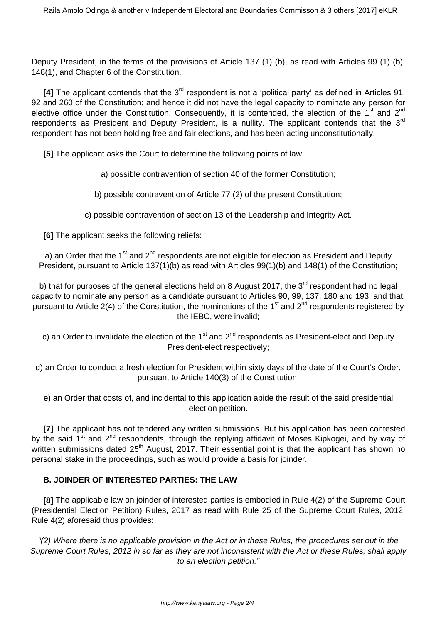Deputy President, in the terms of the provisions of Article 137 (1) (b), as read with Articles 99 (1) (b), 148(1), and Chapter 6 of the Constitution.

**[4]** The applicant contends that the 3rd respondent is not a 'political party' as defined in Articles 91, 92 and 260 of the Constitution; and hence it did not have the legal capacity to nominate any person for elective office under the Constitution. Consequently, it is contended, the election of the 1<sup>st</sup> and 2<sup>nd</sup> respondents as President and Deputy President, is a nullity. The applicant contends that the 3<sup>rd</sup> respondent has not been holding free and fair elections, and has been acting unconstitutionally.

**[5]** The applicant asks the Court to determine the following points of law:

- a) possible contravention of section 40 of the former Constitution;
- b) possible contravention of Article 77 (2) of the present Constitution;
- c) possible contravention of section 13 of the Leadership and Integrity Act.

**[6]** The applicant seeks the following reliefs:

a) an Order that the 1<sup>st</sup> and 2<sup>nd</sup> respondents are not eligible for election as President and Deputy President, pursuant to Article 137(1)(b) as read with Articles 99(1)(b) and 148(1) of the Constitution;

b) that for purposes of the general elections held on 8 August 2017, the  $3<sup>rd</sup>$  respondent had no legal capacity to nominate any person as a candidate pursuant to Articles 90, 99, 137, 180 and 193, and that, pursuant to Article 2(4) of the Constitution, the nominations of the 1<sup>st</sup> and 2<sup>nd</sup> respondents registered by the IEBC, were invalid;

c) an Order to invalidate the election of the 1<sup>st</sup> and 2<sup>nd</sup> respondents as President-elect and Deputy President-elect respectively;

d) an Order to conduct a fresh election for President within sixty days of the date of the Court's Order, pursuant to Article 140(3) of the Constitution;

e) an Order that costs of, and incidental to this application abide the result of the said presidential election petition.

**[7]** The applicant has not tendered any written submissions. But his application has been contested by the said 1<sup>st</sup> and 2<sup>nd</sup> respondents, through the replying affidavit of Moses Kipkogei, and by way of written submissions dated 25<sup>th</sup> August, 2017. Their essential point is that the applicant has shown no personal stake in the proceedings, such as would provide a basis for joinder.

### **B. JOINDER OF INTERESTED PARTIES: THE LAW**

**[8]** The applicable law on joinder of interested parties is embodied in Rule 4(2) of the Supreme Court (Presidential Election Petition) Rules, 2017 as read with Rule 25 of the Supreme Court Rules, 2012. Rule 4(2) aforesaid thus provides:

"(2) Where there is no applicable provision in the Act or in these Rules, the procedures set out in the Supreme Court Rules, 2012 in so far as they are not inconsistent with the Act or these Rules, shall apply to an election petition."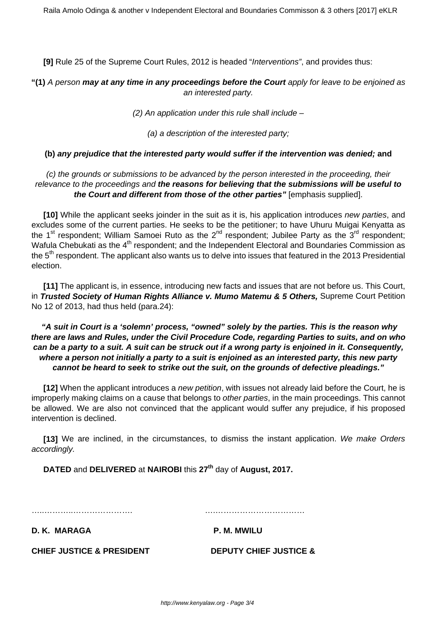**[9]** Rule 25 of the Supreme Court Rules, 2012 is headed "Interventions", and provides thus:

## **"(1)** A person **may at any time in any proceedings before the Court** apply for leave to be enjoined as an interested party.

 $(2)$  An application under this rule shall include  $-$ 

(a) a description of the interested party;

#### **(b) any prejudice that the interested party would suffer if the intervention was denied; and**

## (c) the grounds or submissions to be advanced by the person interested in the proceeding, their relevance to the proceedings and **the reasons for believing that the submissions will be useful to the Court and different from those of the other parties"** [emphasis supplied].

**[10]** While the applicant seeks joinder in the suit as it is, his application introduces new parties, and excludes some of the current parties. He seeks to be the petitioner; to have Uhuru Muigai Kenyatta as the 1<sup>st</sup> respondent; William Samoei Ruto as the 2<sup>nd</sup> respondent; Jubilee Party as the 3<sup>rd</sup> respondent; Wafula Chebukati as the  $4<sup>th</sup>$  respondent; and the Independent Electoral and Boundaries Commission as the 5<sup>th</sup> respondent. The applicant also wants us to delve into issues that featured in the 2013 Presidential election.

**[11]** The applicant is, in essence, introducing new facts and issues that are not before us. This Court, in **Trusted Society of Human Rights Alliance v. Mumo Matemu & 5 Others,** Supreme Court Petition No 12 of 2013, had thus held (para.24):

## **"A suit in Court is a 'solemn' process, "owned" solely by the parties. This is the reason why there are laws and Rules, under the Civil Procedure Code, regarding Parties to suits, and on who can be a party to a suit. A suit can be struck out if a wrong party is enjoined in it. Consequently, where a person not initially a party to a suit is enjoined as an interested party, this new party cannot be heard to seek to strike out the suit, on the grounds of defective pleadings."**

**[12]** When the applicant introduces a new petition, with issues not already laid before the Court, he is improperly making claims on a cause that belongs to other parties, in the main proceedings. This cannot be allowed. We are also not convinced that the applicant would suffer any prejudice, if his proposed intervention is declined.

**[13]** We are inclined, in the circumstances, to dismiss the instant application. We make Orders accordingly.

**DATED** and **DELIVERED** at **NAIROBI** this **27th** day of **August, 2017.** 

…..………..…………………. ….……………………………

**D. K. MARAGA P. M. MWILU** 

**CHIEF JUSTICE & PRESIDENT DEPUTY CHIEF JUSTICE &**